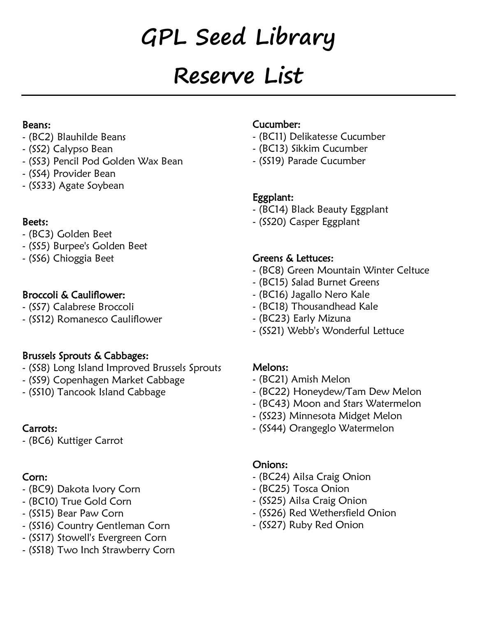# **GPL Seed Library**

# **Reserve List**

#### Beans:

- (BC2) Blauhilde Beans
- (SS2) Calypso Bean
- (SS3) Pencil Pod Golden Wax Bean
- (SS4) Provider Bean
- (SS33) Agate Soybean

#### Beets:

- (BC3) Golden Beet
- (SS5) Burpee's Golden Beet
- (SS6) Chioggia Beet

# Broccoli & Cauliflower:

- (SS7) Calabrese Broccoli
- (SS12) Romanesco Cauliflower

# Brussels Sprouts & Cabbages:

- (SS8) Long Island Improved Brussels Sprouts
- (SS9) Copenhagen Market Cabbage
- (SS10) Tancook Island Cabbage

# Carrots:

- (BC6) Kuttiger Carrot

# Corn:

- (BC9) Dakota Ivory Corn
- (BC10) True Gold Corn
- (SS15) Bear Paw Corn
- (SS16) Country Gentleman Corn
- (SS17) Stowell's Evergreen Corn
- (SS18) Two Inch Strawberry Corn

#### Cucumber:

- (BC11) Delikatesse Cucumber
- (BC13) Sikkim Cucumber
- (SS19) Parade Cucumber

# Eggplant:

- (BC14) Black Beauty Eggplant
- (SS20) Casper Eggplant

# Greens & Lettuces:

- (BC8) Green Mountain Winter Celtuce
- (BC15) Salad Burnet Greens
- (BC16) Jagallo Nero Kale
- (BC18) Thousandhead Kale
- (BC23) Early Mizuna
- (SS21) Webb's Wonderful Lettuce

# Melons:

- (BC21) Amish Melon
- (BC22) Honeydew/Tam Dew Melon
- (BC43) Moon and Stars Watermelon
- (SS23) Minnesota Midget Melon
- (SS44) Orangeglo Watermelon

# Onions:

- (BC24) Ailsa Craig Onion
- (BC25) Tosca Onion
- (SS25) Ailsa Craig Onion
- (SS26) Red Wethersfield Onion
- (SS27) Ruby Red Onion